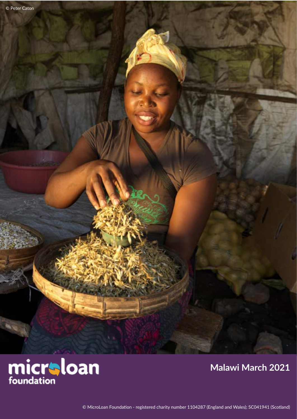

## **Malawi March 2021**

© MicroLoan Foundation - registered charity number 1104287 (England and Wales); SC041941 (Scotland)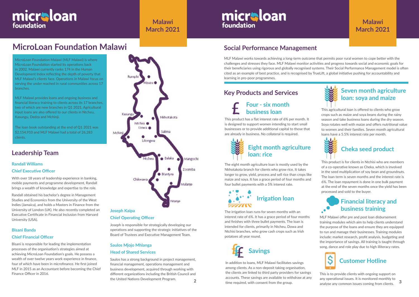# **MicroLoan Foundation Malawi**

# **Leadership Team**

### **Bisani Banda Chief Financial Officer**

Bisani is responsible for leading the implementation processes of the organisation's strategies aimed at achieving MicroLoan Foundation's goals. He possess a wealth of over twelve years work experience in finance, four of which have been in microfinance. He first joined MLF in 2015 as an Accountant before becoming the Chief Finance Officer in 2016.

MLF Malawi works towards achieving a long-term outcome that permits poor rural women to cope better with the challenges and stresses they face. MLF Malawi monitor activities and progress towards social and economic goals for their beneficiaries using rigorous and globally recognised systems. Their Social Performance Management model is often cited as an example of best practice, and is recognised by TrueLift, a global initiative pushing for accountability and learning in pro-poor programmes.

## **Social Performance Management**



### **Chief Operating Officer**

Joseph is responsible for strategically developing our operations and supporting the strategic initiatives of the Board of Trustees and Executive Management Team.

# micraloan foundation

**Malawi March 2021**

# micraloan foundation

MicroLoan Foundation Malawi (MLF Malawi) is where MicroLoan Foundation started its operations back in 2002. Malawi currently ranks 174 in the Human Development Index reflecting the depth of poverty that MLF Malawi's clients face. Operations in Malawi focus on serving the under reached in rural communities across 17 branches.

MLF Malawi provides loans and ongoing business and financial literacy training to clients across its 17 branches, two of which are new branches in Q1 2021. Agricultural input loans are also offered to our clients in Ntcheu, Kasungu, Dedza and Mchinji.

The loan book outstanding at the end of Q1 2021 was \$2,154,910 and MLF Malawi had a total of 26,283 clients.

# **Key Products and Services**



This is to provide clients with ongoing support on any operational issues. It is monitored monthly to analyse any common issues coming from clients.

### **Financial literacy and**   $\cdot$ **business training**

**2** Saulos has a strong background in project management, financial management, operations management and business development, acquired through working with different organizations including the British Council and the United Nations Development Program.

MLF Malawi offer pre and post loan disbursement training modules which aim to help clients understand the purpose of the loans and ensure they are equipped to run and manage their businesses. Training modules include: market research, profit analysis, budgeting and the importance of savings. All training is taught through song, dance and role play due to high illiteracy rates.

This product has a flat interest rate of 6% per month. It is designed to support women intending to start small businesses or to provide additional capital to those that are already in business. No collateral is required.

## **Four - six month business loan**



In addition to loans, MLF Malawi facilitates savings among clients. As a non-deposit taking organisation, the clients are linked to third party providers for savings accounts. These savings are available to withdraw at any time required, with consent from the group.

The eight month agriculture loan is mostly used by the Nkhotakota branch for clients who grow rice. It takes longer to grow, yield, process and sell rice than crops like maize and soya. It has a grace period of four months and four bullet payments with a 5% interest rate.

This agricultural loan is offered to clients who grow crops such as maize and soya beans during the rainy season and take business loans during the dry season. Soya rotates well with maize and offers nutritional value to women and their families. Seven month agricultural loans have a 5.5% interest rate per month.





## **Seven month agriculture loan: soya and maize**

### **Randall Williams**

#### **Chief Executive Officer**

With over 18 years of leadership experience in banking, mobile payments and programme development, Randall brings a wealth of knowledge and expertise to the role.

Randall obtained his bachelor's degree in Management Studies and Economics from the University of the West Indies (Jamaica), and holds a Masters in Finance from the University of London (UK). He also recently completed an Executive Certificate in Financial Inclusion from Harvard University (USA).

### **Saulos Mjojo Mhlanga Head of Shared Services**

## **Malawi March 2021**





The irrigation loan runs for seven months with an interest rate of 6%. It has a grace period of four months and finishes with three bullet payments. The loan is intended for clients, primarily in Ntcheu, Dowa and Ntchisi branches, who grow cash crops such as Irish potatoes all year round.

## **Cheka seed product**

This product is for clients in Ntchisi who are members of a co-operative known as Cheka, which is involved in the seed multiplication of soy bean and groundnuts. The loan term is seven months and the interest rate is 6%. The loan repayment is done in one bulk payment at the end of the seven months once the yield has been processed and sold to the buyer.